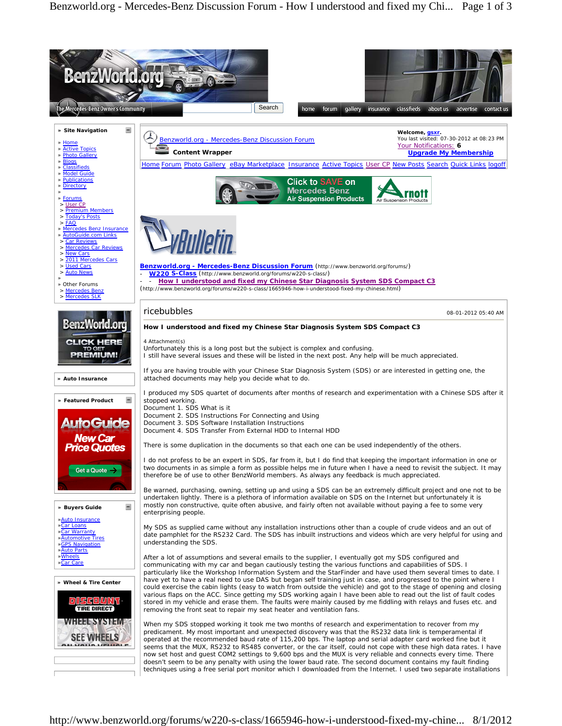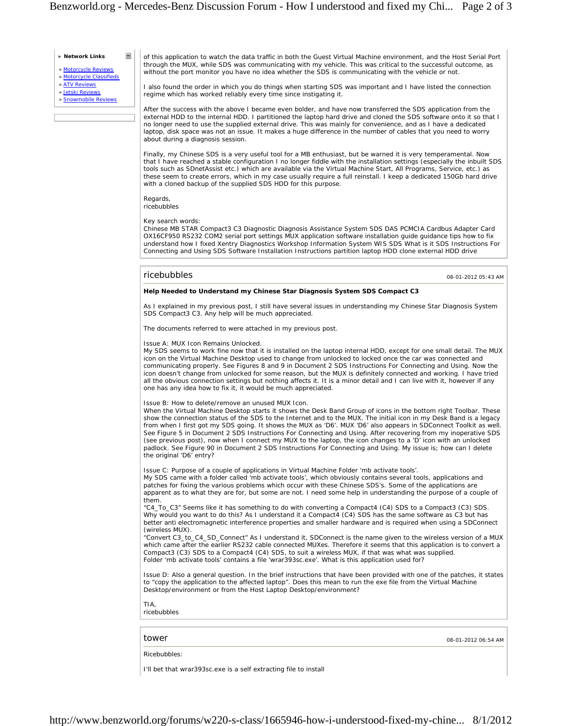**» Network Links**

» Motorcycle Reviews

 $\equiv$ 

» Motorcycle Classifieds

» ATV Reviews

» Jetski Reviews » Snowmobile Reviews

of this application to watch the data traffic in both the Guest Virtual Machine environment, and the Host Serial Port through the MUX, while SDS was communicating with my vehicle. This was critical to the successful outcome, as without the port monitor you have no idea whether the SDS is communicating with the vehicle or not.

I also found the order in which you do things when starting SDS was important and I have listed the connection regime which has worked reliably every time since instigating it.

After the success with the above I became even bolder, and have now transferred the SDS application from the external HDD to the internal HDD. I partitioned the laptop hard drive and cloned the SDS software onto it so that I no longer need to use the supplied external drive. This was mainly for convenience, and as I have a dedicated laptop, disk space was not an issue. It makes a huge difference in the number of cables that you need to worry about during a diagnosis session.

Finally, my Chinese SDS is a very useful tool for a MB enthusiast, but be warned it is very temperamental. Now that I have reached a stable configuration I no longer fiddle with the installation settings (especially the inbuilt SDS tools such as SDnetAssist etc.) which are available via the Virtual Machine Start, All Programs, Service, etc.) as these seem to create errors, which in my case usually require a full reinstall. I keep a dedicated 150Gb hard drive with a cloned backup of the supplied SDS HDD for this purpose.

**Regards** ricebubbles

Key search words:

Chinese MB STAR Compact3 C3 Diagnostic Diagnosis Assistance System SDS DAS PCMCIA Cardbus Adapter Card OX16CF950 RS232 COM2 serial port settings MUX application software installation guide guidance tips how to fix understand how I fixed Xentry Diagnostics Workshop Information System WIS SDS What is it SDS Instructions For Connecting and Using SDS Software Installation Instructions partition laptop HDD clone external HDD drive

## ricebubbles 08-01-2012 05:43 AM

## **Help Needed to Understand my Chinese Star Diagnosis System SDS Compact C3**

As I explained in my previous post, I still have several issues in understanding my Chinese Star Diagnosis System SDS Compact3 C3. Any help will be much appreciated.

The documents referred to were attached in my previous post.

## Issue A: MUX Icon Remains Unlocked.

My SDS seems to work fine now that it is installed on the laptop internal HDD, except for one small detail. The MUX icon on the Virtual Machine Desktop used to change from unlocked to locked once the car was connected and communicating properly. See Figures 8 and 9 in Document 2 SDS Instructions For Connecting and Using. Now the icon doesn't change from unlocked for some reason, but the MUX is definitely connected and working. I have tried all the obvious connection settings but nothing affects it. It is a minor detail and I can live with it, however if any one has any idea how to fix it, it would be much appreciated.

Issue B: How to delete/remove an unused MUX Icon.

When the Virtual Machine Desktop starts it shows the Desk Band Group of icons in the bottom right Toolbar. These show the connection status of the SDS to the Internet and to the MUX. The initial icon in my Desk Band is a legacy from when I first got my SDS going. It shows the MUX as 'D6'. MUX 'D6' also appears in SDConnect Toolkit as well. See Figure 5 in Document 2 SDS Instructions For Connecting and Using. After recovering from my inoperative SDS (see previous post), now when I connect my MUX to the laptop, the icon changes to a 'D' icon with an unlocked padlock. See Figure 90 in Document 2 SDS Instructions For Connecting and Using. My issue is; how can I delete the original 'D6' entry?

Issue C: Purpose of a couple of applications in Virtual Machine Folder 'mb activate tools'.

My SDS came with a folder called 'mb activate tools', which obviously contains several tools, applications and patches for fixing the various problems which occur with these Chinese SDS's. Some of the applications are apparent as to what they are for, but some are not. I need some help in understanding the purpose of a couple of them.

"C4\_To\_C3" Seems like it has something to do with converting a Compact4 (C4) SDS to a Compact3 (C3) SDS. Why would you want to do this? As I understand it a Compact4 (C4) SDS has the same software as C3 but has better anti electromagnetic interference properties and smaller hardware and is required when using a SDConnect (wireless MUX).

"Convert C3\_to\_C4\_SD\_Connect" As I understand it, SDConnect is the name given to the wireless version of a MUX which came after the earlier RS232 cable connected MUXes. Therefore it seems that this application is to convert a Compact3 (C3) SDS to a Compact4 (C4) SDS, to suit a wireless MUX, if that was what was supplied. Folder 'mb activate tools' contains a file 'wrar393sc.exe'. What is this application used for?

Issue D: Also a general question. In the brief instructions that have been provided with one of the patches, it states to "copy the application to the affected laptop". Does this mean to run the exe file from the Virtual Machine Desktop/environment or from the Host Laptop Desktop/environment?

## TIA, ricebubbles

tower 08-01-2012 06:54 AM

Ricebubbles:

I'll bet that wrar393sc.exe is a self extracting file to install